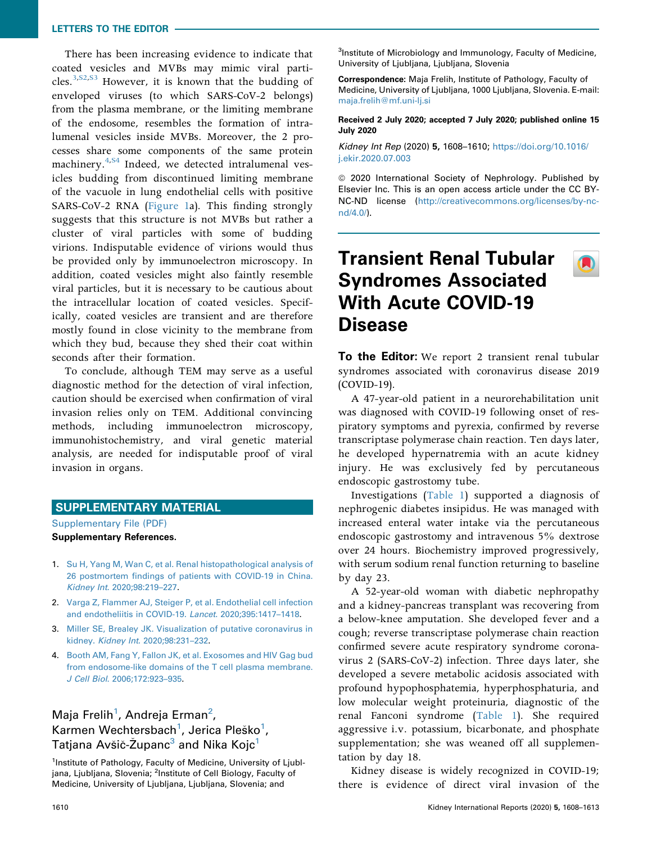#### LETTERS TO THE EDITOR

There has been increasing evidence to indicate that coated vesicles and MVBs may mimic viral parti-cles.<sup>[3](#page-0-0), S2, S3</sup> However, it is known that the budding of enveloped viruses (to which SARS-CoV-2 belongs) from the plasma membrane, or the limiting membrane of the endosome, resembles the formation of intralumenal vesicles inside MVBs. Moreover, the 2 processes share some components of the same protein machinery.<sup>[4,](#page-0-2)[S4](#page-0-1)</sup> Indeed, we detected intralumenal vesicles budding from discontinued limiting membrane of the vacuole in lung endothelial cells with positive SARS-CoV-2 RNA (Figure 1a). This finding strongly suggests that this structure is not MVBs but rather a cluster of viral particles with some of budding virions. Indisputable evidence of virions would thus be provided only by immunoelectron microscopy. In addition, coated vesicles might also faintly resemble viral particles, but it is necessary to be cautious about the intracellular location of coated vesicles. Specifically, coated vesicles are transient and are therefore mostly found in close vicinity to the membrane from which they bud, because they shed their coat within seconds after their formation.

To conclude, although TEM may serve as a useful diagnostic method for the detection of viral infection, caution should be exercised when confirmation of viral invasion relies only on TEM. Additional convincing methods, including immunoelectron microscopy, immunohistochemistry, and viral genetic material analysis, are needed for indisputable proof of viral invasion in organs.

### SUPPLEMENTARY MATERIAL

[Supplementary File \(PDF\)](https://doi.org/10.1016/j.ekir.2020.07.003) Supplementary References.

- 1. [Su H, Yang M, Wan C, et al. Renal histopathological analysis of](http://refhub.elsevier.com/S2468-0249(20)31360-7/sref1) 26 postmortem fi[ndings of patients with COVID-19 in China.](http://refhub.elsevier.com/S2468-0249(20)31360-7/sref1) Kidney Int[. 2020;98:219](http://refhub.elsevier.com/S2468-0249(20)31360-7/sref1)–227.
- 2. [Varga Z, Flammer AJ, Steiger P, et al. Endothelial cell infection](http://refhub.elsevier.com/S2468-0249(20)31360-7/sref3) [and endotheliitis in COVID-19.](http://refhub.elsevier.com/S2468-0249(20)31360-7/sref3) Lancet. 2020;395:1417–1418.
- <span id="page-0-0"></span>3. [Miller SE, Brealey JK. Visualization of putative coronavirus in](http://refhub.elsevier.com/S2468-0249(20)31360-7/sref5) kidney. Kidney Int[. 2020;98:231](http://refhub.elsevier.com/S2468-0249(20)31360-7/sref5)–232.
- <span id="page-0-2"></span><span id="page-0-1"></span>4. [Booth AM, Fang Y, Fallon JK, et al. Exosomes and HIV Gag bud](http://refhub.elsevier.com/S2468-0249(20)31360-7/sref8) [from endosome-like domains of the T cell plasma membrane.](http://refhub.elsevier.com/S2468-0249(20)31360-7/sref8) J Cell Biol[. 2006;172:923](http://refhub.elsevier.com/S2468-0249(20)31360-7/sref8)–935.

## Maja Frelih<sup>[1](#page-0-3)</sup>, Andreja Erman<sup>2</sup>, Karmen Wechtersbach<sup>[1](#page-0-3)</sup>, Jerica Pleško<sup>1</sup>, Tatjana Avšič-Županc<sup>[3](#page-0-5)</sup> and Nika Kojc<sup>[1](#page-0-3)</sup>

<span id="page-0-5"></span><span id="page-0-4"></span><span id="page-0-3"></span><sup>1</sup>Institute of Pathology, Faculty of Medicine, University of Ljubljana, Ljubljana, Slovenia; <sup>2</sup>Institute of Cell Biology, Faculty of Medicine, University of Ljubljana, Ljubljana, Slovenia; and

<sup>3</sup>Institute of Microbiology and Immunology, Faculty of Medicine, University of Ljubljana, Ljubljana, Slovenia

Correspondence: Maja Frelih, Institute of Pathology, Faculty of Medicine, University of Ljubljana, 1000 Ljubljana, Slovenia. E-mail: [maja.frelih@mf.uni-lj.si](mailto:maja.frelih@mf.uni-lj.si)

Received 2 July 2020; accepted 7 July 2020; published online 15 July 2020

Kidney Int Rep (2020) 5, 1608–1610; [https://doi.org/10.1016/](https://doi.org/10.1016/j.ekir.2020.07.003) [j.ekir.2020.07.003](https://doi.org/10.1016/j.ekir.2020.07.003)

<sup>©</sup> 2020 International Society of Nephrology. Published by Elsevier Inc. This is an open access article under the CC BY-NC-ND license ([http://creativecommons.org/licenses/by-nc](http://creativecommons.org/licenses/by-nc-nd/4.0/)[nd/4.0/](http://creativecommons.org/licenses/by-nc-nd/4.0/)).

## Transient Renal Tubular Syndromes Associated With Acute COVID-19 Disease

To the Editor: We report 2 transient renal tubular syndromes associated with coronavirus disease 2019 (COVID-19).

A 47-year-old patient in a neurorehabilitation unit was diagnosed with COVID-19 following onset of respiratory symptoms and pyrexia, confirmed by reverse transcriptase polymerase chain reaction. Ten days later, he developed hypernatremia with an acute kidney injury. He was exclusively fed by percutaneous endoscopic gastrostomy tube.

Investigations ([Table 1\)](#page-1-0) supported a diagnosis of nephrogenic diabetes insipidus. He was managed with increased enteral water intake via the percutaneous endoscopic gastrostomy and intravenous 5% dextrose over 24 hours. Biochemistry improved progressively, with serum sodium renal function returning to baseline by day 23.

A 52-year-old woman with diabetic nephropathy and a kidney-pancreas transplant was recovering from a below-knee amputation. She developed fever and a cough; reverse transcriptase polymerase chain reaction confirmed severe acute respiratory syndrome coronavirus 2 (SARS-CoV-2) infection. Three days later, she developed a severe metabolic acidosis associated with profound hypophosphatemia, hyperphosphaturia, and low molecular weight proteinuria, diagnostic of the renal Fanconi syndrome [\(Table 1\)](#page-1-0). She required aggressive i.v. potassium, bicarbonate, and phosphate supplementation; she was weaned off all supplementation by day 18.

Kidney disease is widely recognized in COVID-19; there is evidence of direct viral invasion of the